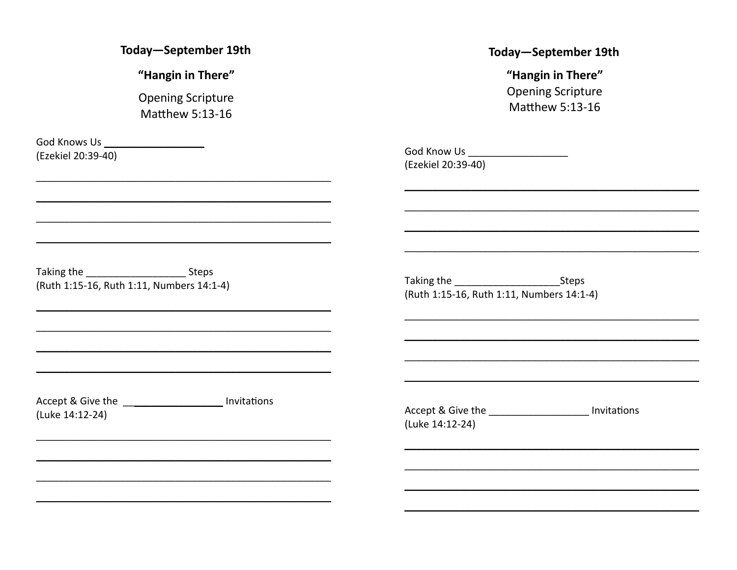Today-September 19th

"Hangin in There"

**Opening Scripture Matthew 5:13-16** 

God Knows Us **Shows** User Services and Services (Ezekiel 20:39-40)

#### Today-September 19th

"Hangin in There" **Opening Scripture** Matthew 5:13-16

God Know Us **Show Show The Contract Contract Contract Contract Contract Contract Contract Contract Contract Contract Contract Contract Contract Contract Contract Contract Contract Contract Contract Contract Contract Contra** (Ezekiel 20:39-40)

Taking the steps Steps (Ruth 1:15-16, Ruth 1:11, Numbers 14:1-4)

Taking the Steps (Ruth 1:15-16, Ruth 1:11, Numbers 14:1-4)

Accept & Give the \_\_\_\_\_\_\_\_\_\_\_\_\_\_\_\_\_\_\_\_ Invitations (Luke 14:12-24)

Accept & Give the 100 millions control number of the 100 millions (Luke 14:12-24)